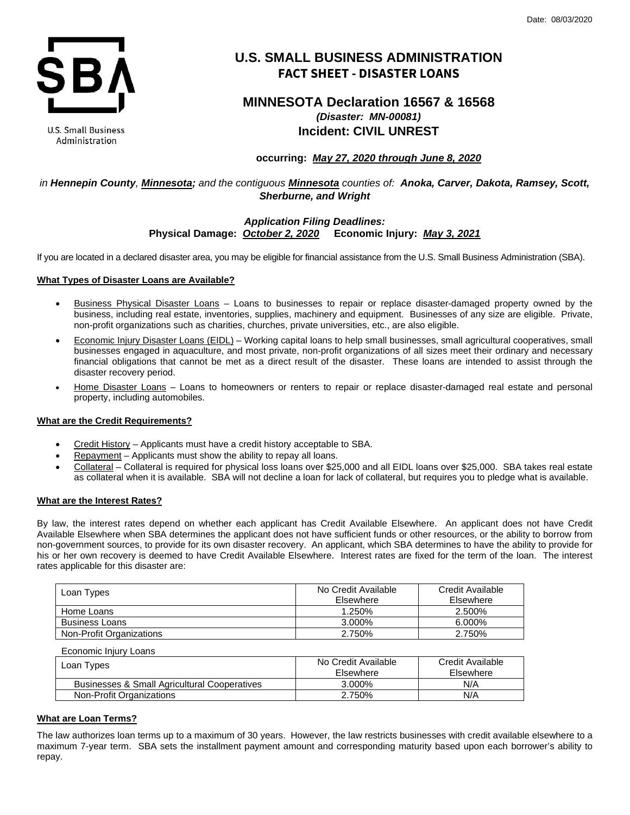

**U.S. Small Business** Administration

# **U.S. SMALL BUSINESS ADMINISTRATION FACT SHEET - DISASTER LOANS**

# **MINNESOTA Declaration 16567 & 16568** *(Disaster: MN-00081)* **Incident: CIVIL UNREST**

# **occurring:** *May 27, 2020 through June 8, 2020*

# *in Hennepin County, Minnesota; and the contiguous Minnesota counties of: Anoka, Carver, Dakota, Ramsey, Scott, Sherburne, and Wright*

## *Application Filing Deadlines:* **Physical Damage:** *October 2, 2020* **Economic Injury:** *May 3, 2021*

If you are located in a declared disaster area, you may be eligible for financial assistance from the U.S. Small Business Administration (SBA).

## **What Types of Disaster Loans are Available?**

- Business Physical Disaster Loans Loans to businesses to repair or replace disaster-damaged property owned by the business, including real estate, inventories, supplies, machinery and equipment. Businesses of any size are eligible. Private, non-profit organizations such as charities, churches, private universities, etc., are also eligible.
- Economic Injury Disaster Loans (EIDL) Working capital loans to help small businesses, small agricultural cooperatives, small businesses engaged in aquaculture, and most private, non-profit organizations of all sizes meet their ordinary and necessary financial obligations that cannot be met as a direct result of the disaster. These loans are intended to assist through the disaster recovery period.
- Home Disaster Loans Loans to homeowners or renters to repair or replace disaster-damaged real estate and personal property, including automobiles.

## **What are the Credit Requirements?**

- Credit History Applicants must have a credit history acceptable to SBA.
- Repayment Applicants must show the ability to repay all loans.
- Collateral Collateral is required for physical loss loans over \$25,000 and all EIDL loans over \$25,000. SBA takes real estate as collateral when it is available. SBA will not decline a loan for lack of collateral, but requires you to pledge what is available.

## **What are the Interest Rates?**

By law, the interest rates depend on whether each applicant has Credit Available Elsewhere. An applicant does not have Credit Available Elsewhere when SBA determines the applicant does not have sufficient funds or other resources, or the ability to borrow from non-government sources, to provide for its own disaster recovery. An applicant, which SBA determines to have the ability to provide for his or her own recovery is deemed to have Credit Available Elsewhere. Interest rates are fixed for the term of the loan. The interest rates applicable for this disaster are:

| Loan Types               | No Credit Available<br>Elsewhere | Credit Available<br>Elsewhere |
|--------------------------|----------------------------------|-------------------------------|
| Home Loans               | 1.250%                           | 2.500%                        |
| <b>Business Loans</b>    | 3.000%                           | 6.000%                        |
| Non-Profit Organizations | 2.750%                           | 2.750%                        |

Economic Injury Loans

| Loan Types                                   | No Credit Available | Credit Available |
|----------------------------------------------|---------------------|------------------|
|                                              | Elsewhere           | Elsewhere        |
| Businesses & Small Agricultural Cooperatives | 3.000%              | N/A              |
| Non-Profit Organizations                     | 2.750%              | N/A              |

## **What are Loan Terms?**

The law authorizes loan terms up to a maximum of 30 years. However, the law restricts businesses with credit available elsewhere to a maximum 7-year term. SBA sets the installment payment amount and corresponding maturity based upon each borrower's ability to repay.